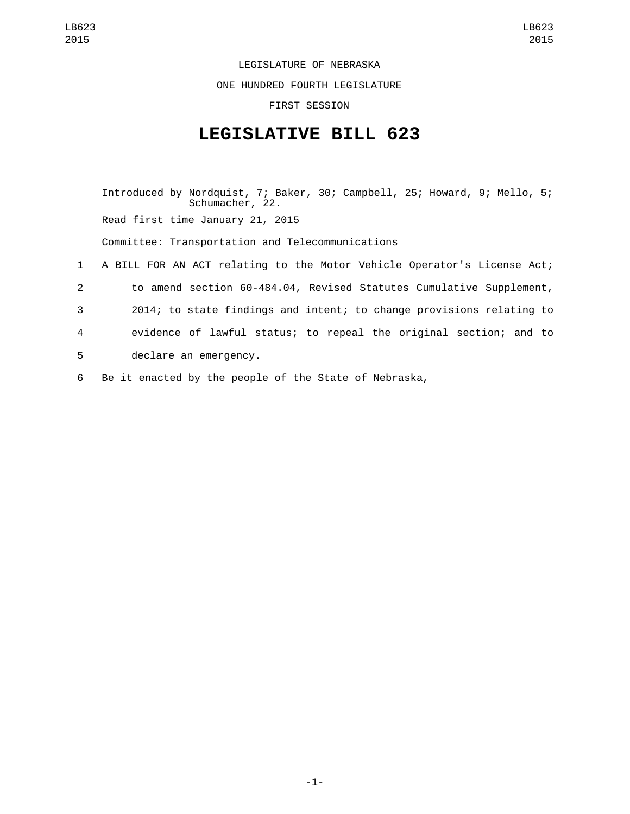LEGISLATURE OF NEBRASKA

ONE HUNDRED FOURTH LEGISLATURE

FIRST SESSION

## **LEGISLATIVE BILL 623**

Introduced by Nordquist, 7; Baker, 30; Campbell, 25; Howard, 9; Mello, 5; Schumacher, 22. Read first time January 21, 2015 Committee: Transportation and Telecommunications 1 A BILL FOR AN ACT relating to the Motor Vehicle Operator's License Act; 2 to amend section 60-484.04, Revised Statutes Cumulative Supplement, 3 2014; to state findings and intent; to change provisions relating to 4 evidence of lawful status; to repeal the original section; and to 5 declare an emergency.

6 Be it enacted by the people of the State of Nebraska,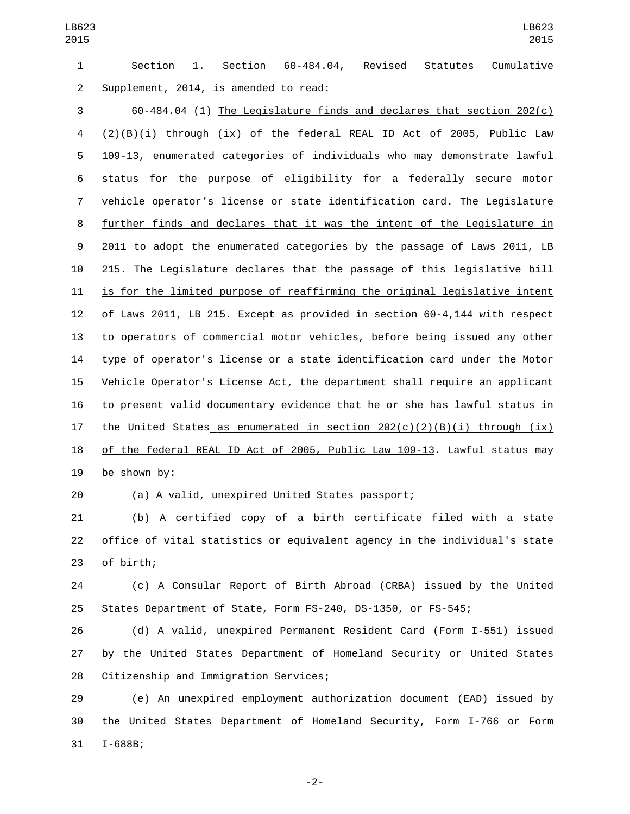Section 1. Section 60-484.04, Revised Statutes Cumulative 2 Supplement, 2014, is amended to read:

 60-484.04 (1) The Legislature finds and declares that section 202(c) (2)(B)(i) through (ix) of the federal REAL ID Act of 2005, Public Law 109-13, enumerated categories of individuals who may demonstrate lawful status for the purpose of eligibility for a federally secure motor vehicle operator's license or state identification card. The Legislature further finds and declares that it was the intent of the Legislature in 2011 to adopt the enumerated categories by the passage of Laws 2011, LB 215. The Legislature declares that the passage of this legislative bill is for the limited purpose of reaffirming the original legislative intent of Laws 2011, LB 215. Except as provided in section 60-4,144 with respect to operators of commercial motor vehicles, before being issued any other type of operator's license or a state identification card under the Motor Vehicle Operator's License Act, the department shall require an applicant to present valid documentary evidence that he or she has lawful status in 17 the United States as enumerated in section  $202(c)(2)(B)(i)$  through  $(ix)$  of the federal REAL ID Act of 2005, Public Law 109-13. Lawful status may be shown by:

(a) A valid, unexpired United States passport;

 (b) A certified copy of a birth certificate filed with a state office of vital statistics or equivalent agency in the individual's state 23 of birth;

 (c) A Consular Report of Birth Abroad (CRBA) issued by the United States Department of State, Form FS-240, DS-1350, or FS-545;

 (d) A valid, unexpired Permanent Resident Card (Form I-551) issued by the United States Department of Homeland Security or United States 28 Citizenship and Immigration Services;

 (e) An unexpired employment authorization document (EAD) issued by the United States Department of Homeland Security, Form I-766 or Form 31 I-688B;

-2-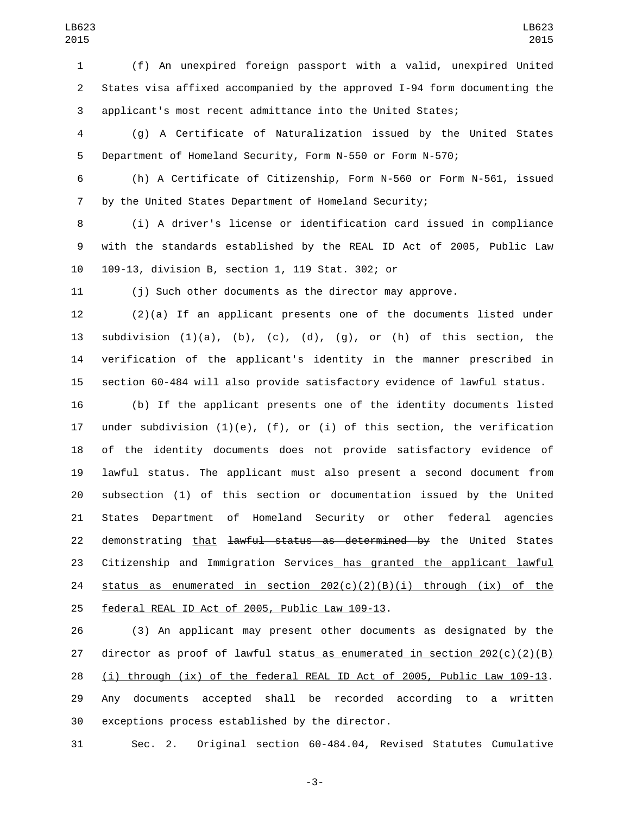(f) An unexpired foreign passport with a valid, unexpired United States visa affixed accompanied by the approved I-94 form documenting the applicant's most recent admittance into the United States;

 (g) A Certificate of Naturalization issued by the United States Department of Homeland Security, Form N-550 or Form N-570;

 (h) A Certificate of Citizenship, Form N-560 or Form N-561, issued by the United States Department of Homeland Security;

 (i) A driver's license or identification card issued in compliance with the standards established by the REAL ID Act of 2005, Public Law 109-13, division B, section 1, 119 Stat. 302; or10

(j) Such other documents as the director may approve.

 (2)(a) If an applicant presents one of the documents listed under 13 subdivision  $(1)(a)$ ,  $(b)$ ,  $(c)$ ,  $(d)$ ,  $(g)$ , or  $(h)$  of this section, the verification of the applicant's identity in the manner prescribed in section 60-484 will also provide satisfactory evidence of lawful status.

 (b) If the applicant presents one of the identity documents listed under subdivision (1)(e), (f), or (i) of this section, the verification of the identity documents does not provide satisfactory evidence of lawful status. The applicant must also present a second document from subsection (1) of this section or documentation issued by the United States Department of Homeland Security or other federal agencies 22 demonstrating that lawful status as determined by the United States 23 Citizenship and Immigration Services has granted the applicant lawful 24 status as enumerated in section  $202(c)(2)(B)(i)$  through (ix) of the 25 federal REAL ID Act of 2005, Public Law 109-13.

 (3) An applicant may present other documents as designated by the 27 director as proof of lawful status as enumerated in section  $202(c)(2)(B)$  (i) through (ix) of the federal REAL ID Act of 2005, Public Law 109-13. Any documents accepted shall be recorded according to a written 30 exceptions process established by the director.

Sec. 2. Original section 60-484.04, Revised Statutes Cumulative

-3-